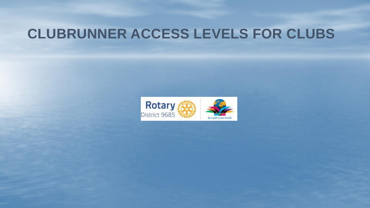## **CLUBRUNNER ACCESS LEVELS FOR CLUBS**

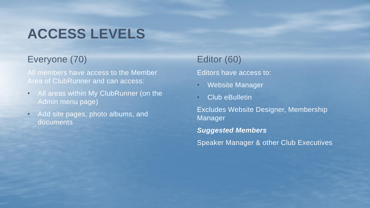# **ACCESS LEVELS**

### Everyone (70) Editor (60)

All members have access to the Member Area of ClubRunner and can access:

- All areas within My ClubRunner (on the Admin menu page)
- Add site pages, photo albums, and documents

Editors have access to:

- Website Manager
- Club eBulletin

Excludes Website Designer, Membership Manager

*Suggested Members*

Speaker Manager & other Club Executives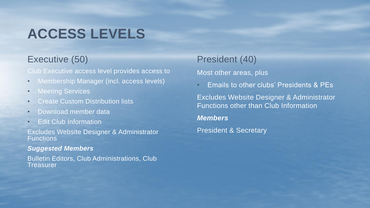## **ACCESS LEVELS**

Club Executive access level provides access to

- Membership Manager (incl. access levels)
- Meeting Services
- Create Custom Distribution lists
- Download member data
- Edit Club Information

Excludes Website Designer & Administrator **Functions** 

### *Suggested Members*

Bulletin Editors, Club Administrations, Club **Treasurer** 

## Executive (50) President (40)

### Most other areas, plus

• Emails to other clubs' Presidents & PEs

Excludes Website Designer & Administrator Functions other than Club Information

### *Members*

President & Secretary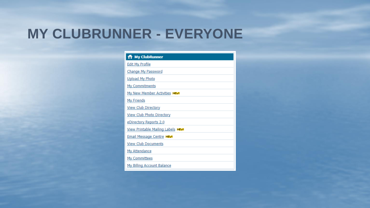## **MY CLUBRUNNER - EVERYONE**

| <b>1</b> My ClubRunner             |
|------------------------------------|
| <b>Edit My Profile</b>             |
| <b>Change My Password</b>          |
| <b>Upload My Photo</b>             |
| My Commitments                     |
| My New Member Activities NEW!      |
| <b>My Friends</b>                  |
| <b>View Club Directory</b>         |
| <b>View Club Photo Directory</b>   |
| eDirectory Reports 2.0             |
| View Printable Mailing Labels NEW! |
| <b>Email Message Centre NEW!</b>   |
| <b>View Club Documents</b>         |
| <b>My Attendance</b>               |
| My Committees                      |
| My Billing Account Balance         |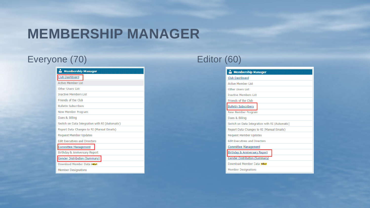## **MEMBERSHIP MANAGER**

## Everyone (70) Editor (60)

| <b>Membership Manager</b>                      |  |
|------------------------------------------------|--|
| Club Dashboard                                 |  |
| <b>Active Member List</b>                      |  |
| <b>Other Users List</b>                        |  |
| <b>Inactive Members List</b>                   |  |
| Friends of the Club                            |  |
| <b>Bulletin Subscribers</b>                    |  |
| New Member Program                             |  |
| Dues & Billing                                 |  |
| Switch on Data Integration with RI (Automatic) |  |
| Report Data Changes to RI (Manual Emails)      |  |
| <b>Request Member Updates</b>                  |  |
| <b>Edit Executives and Directors</b>           |  |
| <b>Committee Management</b>                    |  |
| Birthday & Anniversary Report                  |  |
| <b>Gender Distribution (Summary)</b>           |  |
| Download Member Data NEW!                      |  |
| <b>Member Designations</b>                     |  |

| <b>Membership Manager</b>                      |
|------------------------------------------------|
| Club Dashboard                                 |
| <b>Active Member List</b>                      |
| Other Users List                               |
| <b>Inactive Members List</b>                   |
| Friends of the Club                            |
| <b>Bulletin Subscribers</b>                    |
| New Member Program                             |
| Dues & Billing                                 |
| Switch on Data Integration with RI (Automatic) |
| Report Data Changes to RI (Manual Emails)      |
| <b>Request Member Updates</b>                  |
| <b>Edit Executives and Directors</b>           |
| <b>Committee Management</b>                    |
| Birthday & Anniversary Report                  |
| <b>Gender Distribution (Summary)</b>           |
| Download Member Data NEW                       |
| <b>Member Designations</b>                     |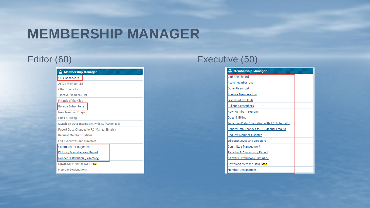## **MEMBERSHIP MANAGER**

| <b>Membership Manager</b>                      |  |
|------------------------------------------------|--|
| Club Dashboard                                 |  |
| <b>Active Member List</b>                      |  |
| <b>Other Users List</b>                        |  |
| <b>Inactive Members List</b>                   |  |
| Friends of the Club                            |  |
| <b>Bulletin Subscribers</b>                    |  |
| New Member Program                             |  |
| Dues & Billing                                 |  |
| Switch on Data Integration with RI (Automatic) |  |
| Report Data Changes to RI (Manual Emails)      |  |
| <b>Request Member Updates</b>                  |  |
| <b>Edit Executives and Directors</b>           |  |
| <b>Committee Management</b>                    |  |
| Birthday & Anniversary Report                  |  |
| <b>Gender Distribution (Summary)</b>           |  |
| Download Member Data NEW!                      |  |
| <b>Member Designations</b>                     |  |

### Editor (60) **Executive (50)**

| <b>Membership Manager</b>                      |  |
|------------------------------------------------|--|
| Club Dashboard                                 |  |
| Active Member List                             |  |
| Other Users List                               |  |
| <b>Inactive Members List</b>                   |  |
| Friends of the Club                            |  |
| <b>Bulletin Subscribers</b>                    |  |
| <b>New Member Program</b>                      |  |
| Dues & Billing                                 |  |
| Switch on Data Integration with RI (Automatic) |  |
| Report Data Changes to RI (Manual Emails)      |  |
| <b>Request Member Updates</b>                  |  |
| <b>Edit Executives and Directors</b>           |  |
| <b>Committee Management</b>                    |  |
| Birthday & Anniversary Report                  |  |
| Gender Distribution (Summary)                  |  |
| Download Member Data NEW!                      |  |
| <b>Member Designations</b>                     |  |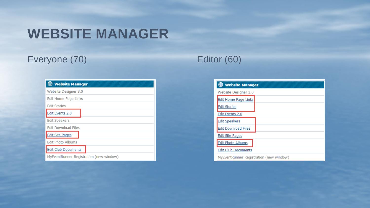## **WEBSITE MANAGER**

## Everyone (70) Editor (60)

| <b>ED</b> Website Manager               |
|-----------------------------------------|
| Website Designer 3.0                    |
| Edit Home Page Links                    |
| <b>Edit Stories</b>                     |
| Edit Events 2.0                         |
| <b>Edit Speakers</b>                    |
| <b>Edit Download Files</b>              |
| <b>Edit Site Pages</b>                  |
| <b>Edit Photo Albums</b>                |
| <b>Edit Club Documents</b>              |
| MyEventRunner Registration (new window) |

| <b>E</b> Website Manager                |  |
|-----------------------------------------|--|
| Website Designer 3.0                    |  |
| <b>Edit Home Page Links</b>             |  |
| <b>Edit Stories</b>                     |  |
| Edit Events 2.0                         |  |
| <b>Edit Speakers</b>                    |  |
| <b>Edit Download Files</b>              |  |
| <b>Edit Site Pages</b>                  |  |
| <b>Edit Photo Albums</b>                |  |
| <b>Edit Club Documents</b>              |  |
| MyEventRunner Registration (new window) |  |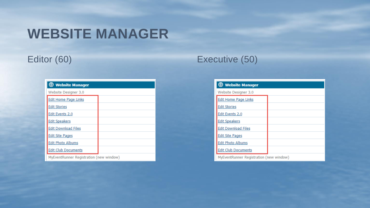## **WEBSITE MANAGER**

| <b>B</b> Website Manager                |  |
|-----------------------------------------|--|
| Website Designer 3.0                    |  |
| <b>Edit Home Page Links</b>             |  |
| <b>Edit Stories</b>                     |  |
| Edit Events 2.0                         |  |
| <b>Edit Speakers</b>                    |  |
| <b>Edit Download Files</b>              |  |
| <b>Edit Site Pages</b>                  |  |
| <b>Edit Photo Albums</b>                |  |
| <b>Edit Club Documents</b>              |  |
| MyEventRunner Registration (new window) |  |

## Editor (60) **Executive (50)**

| <b>ED</b> Website Manager               |
|-----------------------------------------|
| Website Designer 3.0                    |
| <b>Edit Home Page Links</b>             |
| <b>Edit Stories</b>                     |
| Edit Events 2.0                         |
| <b>Edit Speakers</b>                    |
| <b>Edit Download Files</b>              |
| <b>Edit Site Pages</b>                  |
| <b>Edit Photo Albums</b>                |
| <b>Edit Club Documents</b>              |
| MyEventRunner Registration (new window) |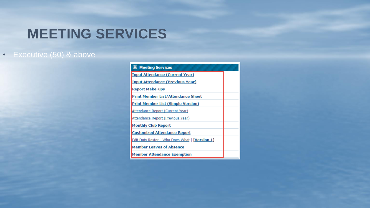## **MEETING SERVICES**

### • Executive (50) & above

| $\mathcal{L}$ Meeting Services                 |  |
|------------------------------------------------|--|
| <b>Input Attendance (Current Year)</b>         |  |
| <b>Input Attendance (Previous Year)</b>        |  |
| <b>Report Make-ups</b>                         |  |
| <b>Print Member List/Attendance Sheet</b>      |  |
| <b>Print Member List (Simple Version)</b>      |  |
| Attendance Report (Current Year)               |  |
| Attendance Report (Previous Year)              |  |
| <b>Monthly Club Report</b>                     |  |
| <b>Customized Attendance Report</b>            |  |
| Edit Duty Roster - Who Does What   [Version 1] |  |
| <b>Member Leaves of Absence</b>                |  |
| <b>Member Attendance Exemption</b>             |  |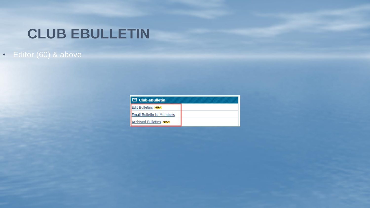# **CLUB EBULLETIN**

## • Editor (60) & above

| $\boxdot$ Club eBulletin         |  |
|----------------------------------|--|
| <b>Edit Bulletins NEW!</b>       |  |
| <b>Email Bulletin to Members</b> |  |
| <b>Archived Bulletins NEW!</b>   |  |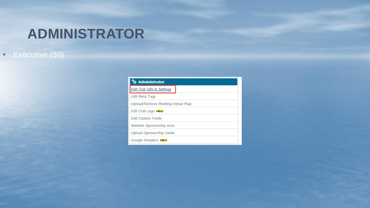# **ADMINISTRATOR**

### • Executive (50)

| <sup>9</sup> & Administrator    |
|---------------------------------|
| Edit Club Info & Settings       |
| <b>Edit Meta Tags</b>           |
| Upload/Remove Meeting Venue Map |
| Edit Club Logo NEW!             |
| <b>Edit Custom Fields</b>       |
| Website Sponsorship Area        |
| Upload Sponsorship Guide        |
| Google Analytics NEW!           |